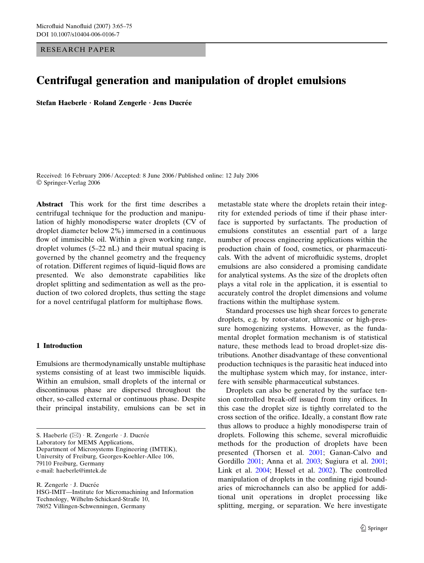## RESEARCH PAPER

# Centrifugal generation and manipulation of droplet emulsions

Stefan Haeberle  $\cdot$  Roland Zengerle  $\cdot$  Jens Ducrée

Received: 16 February 2006 / Accepted: 8 June 2006 / Published online: 12 July 2006 Springer-Verlag 2006

Abstract This work for the first time describes a centrifugal technique for the production and manipulation of highly monodisperse water droplets (CV of droplet diameter below 2%) immersed in a continuous flow of immiscible oil. Within a given working range, droplet volumes (5–22 nL) and their mutual spacing is governed by the channel geometry and the frequency of rotation. Different regimes of liquid–liquid flows are presented. We also demonstrate capabilities like droplet splitting and sedimentation as well as the production of two colored droplets, thus setting the stage for a novel centrifugal platform for multiphase flows.

# 1 Introduction

Emulsions are thermodynamically unstable multiphase systems consisting of at least two immiscible liquids. Within an emulsion, small droplets of the internal or discontinuous phase are dispersed throughout the other, so-called external or continuous phase. Despite their principal instability, emulsions can be set in

S. Haeberle  $(\boxtimes) \cdot R$ . Zengerle  $\cdot$  J. Ducrée Laboratory for MEMS Applications, Department of Microsystems Engineering (IMTEK), University of Freiburg, Georges-Koehler-Allee 106, 79110 Freiburg, Germany e-mail: haeberle@imtek.de

R. Zengerle · J. Ducrée HSG-IMIT—Institute for Micromachining and Information Technology, Wilhelm-Schickard-Straße 10, 78052 Villingen-Schwenningen, Germany

metastable state where the droplets retain their integrity for extended periods of time if their phase interface is supported by surfactants. The production of emulsions constitutes an essential part of a large number of process engineering applications within the production chain of food, cosmetics, or pharmaceuticals. With the advent of microfluidic systems, droplet emulsions are also considered a promising candidate for analytical systems. As the size of the droplets often plays a vital role in the application, it is essential to accurately control the droplet dimensions and volume fractions within the multiphase system.

Standard processes use high shear forces to generate droplets, e.g. by rotor-stator, ultrasonic or high-pressure homogenizing systems. However, as the fundamental droplet formation mechanism is of statistical nature, these methods lead to broad droplet-size distributions. Another disadvantage of these conventional production techniques is the parasitic heat induced into the multiphase system which may, for instance, interfere with sensible pharmaceutical substances.

Droplets can also be generated by the surface tension controlled break-off issued from tiny orifices. In this case the droplet size is tightly correlated to the cross section of the orifice. Ideally, a constant flow rate thus allows to produce a highly monodisperse train of droplets. Following this scheme, several microfluidic methods for the production of droplets have been presented (Thorsen et al. [2001](#page-10-0); Ganan-Calvo and Gordillo [2001;](#page-10-0) Anna et al. [2003](#page-9-0); Sugiura et al. [2001;](#page-10-0) Link et al. [2004;](#page-10-0) Hessel et al. [2002](#page-10-0)). The controlled manipulation of droplets in the confining rigid boundaries of microchannels can also be applied for additional unit operations in droplet processing like splitting, merging, or separation. We here investigate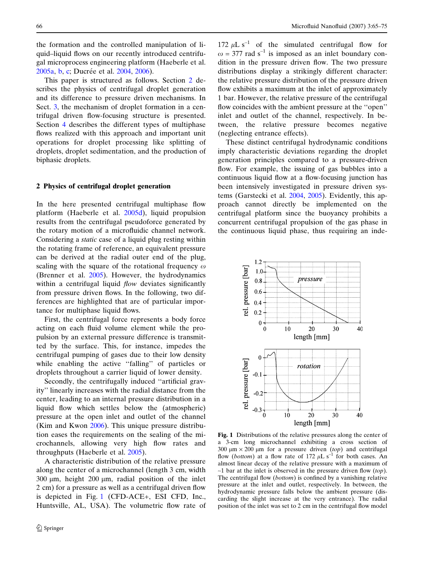the formation and the controlled manipulation of liquid–liquid flows on our recently introduced centrifugal microprocess engineering platform (Haeberle et al. [2005a,](#page-10-0) [b](#page-10-0), [c;](#page-10-0) Ducrée et al. [2004](#page-10-0), [2006\)](#page-10-0).

This paper is structured as follows. Section 2 describes the physics of centrifugal droplet generation and its difference to pressure driven mechanisms. In Sect. 3, the mechanism of droplet formation in a centrifugal driven flow-focusing structure is presented. Section 4 describes the different types of multiphase flows realized with this approach and important unit operations for droplet processing like splitting of droplets, droplet sedimentation, and the production of biphasic droplets.

## 2 Physics of centrifugal droplet generation

In the here presented centrifugal multiphase flow platform (Haeberle et al. [2005d](#page-10-0)), liquid propulsion results from the centrifugal pseudoforce generated by the rotary motion of a microfluidic channel network. Considering a static case of a liquid plug resting within the rotating frame of reference, an equivalent pressure can be derived at the radial outer end of the plug, scaling with the square of the rotational frequency  $\omega$ (Brenner et al. [2005](#page-9-0)). However, the hydrodynamics within a centrifugal liquid *flow* deviates significantly from pressure driven flows. In the following, two differences are highlighted that are of particular importance for multiphase liquid flows.

First, the centrifugal force represents a body force acting on each fluid volume element while the propulsion by an external pressure difference is transmitted by the surface. This, for instance, impedes the centrifugal pumping of gases due to their low density while enabling the active ''falling'' of particles or droplets throughout a carrier liquid of lower density.

Secondly, the centrifugally induced ''artificial gravity'' linearly increases with the radial distance from the center, leading to an internal pressure distribution in a liquid flow which settles below the (atmospheric) pressure at the open inlet and outlet of the channel (Kim and Kwon [2006\)](#page-10-0). This unique pressure distribution eases the requirements on the sealing of the microchannels, allowing very high flow rates and throughputs (Haeberle et al. [2005\)](#page-10-0).

A characteristic distribution of the relative pressure along the center of a microchannel (length 3 cm, width  $300 \mu m$ , height  $200 \mu m$ , radial position of the inlet 2 cm) for a pressure as well as a centrifugal driven flow is depicted in Fig. 1 (CFD-ACE+, ESI CFD, Inc., Huntsville, AL, USA). The volumetric flow rate of 172  $\mu$ L s<sup>-1</sup> of the simulated centrifugal flow for  $\omega$  = 377 rad s<sup>-1</sup> is imposed as an inlet boundary condition in the pressure driven flow. The two pressure distributions display a strikingly different character: the relative pressure distribution of the pressure driven flow exhibits a maximum at the inlet of approximately 1 bar. However, the relative pressure of the centrifugal flow coincides with the ambient pressure at the ''open'' inlet and outlet of the channel, respectively. In between, the relative pressure becomes negative (neglecting entrance effects).

These distinct centrifugal hydrodynamic conditions imply characteristic deviations regarding the droplet generation principles compared to a pressure-driven flow. For example, the issuing of gas bubbles into a continuous liquid flow at a flow-focusing junction has been intensively investigated in pressure driven systems (Garstecki et al. [2004](#page-10-0), [2005\)](#page-10-0). Evidently, this approach cannot directly be implemented on the centrifugal platform since the buoyancy prohibits a concurrent centrifugal propulsion of the gas phase in the continuous liquid phase, thus requiring an inde-



Fig. 1 Distributions of the relative pressures along the center of a 3-cm long microchannel exhibiting a cross section of 300  $\mu$ m × 200  $\mu$ m for a pressure driven (top) and centrifugal flow (*bottom*) at a flow rate of 172  $\mu$ L s<sup>-1</sup> for both cases. An almost linear decay of the relative pressure with a maximum of  $\sim$ 1 bar at the inlet is observed in the pressure driven flow (top). The centrifugal flow (bottom) is confined by a vanishing relative pressure at the inlet and outlet, respectively. In between, the hydrodynamic pressure falls below the ambient pressure (discarding the slight increase at the very entrance). The radial position of the inlet was set to 2 cm in the centrifugal flow model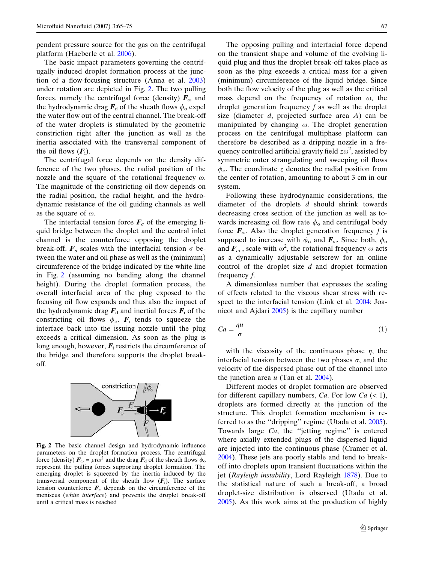pendent pressure source for the gas on the centrifugal platform (Haeberle et al. [2006\)](#page-10-0).

The basic impact parameters governing the centrifugally induced droplet formation process at the junction of a flow-focusing structure (Anna et al. [2003](#page-9-0)) under rotation are depicted in Fig. 2. The two pulling forces, namely the centrifugal force (density)  $\mathbf{F}_{\alpha}$  and the hydrodynamic drag  $F_d$  of the sheath flows  $\phi_0$  expel the water flow out of the central channel. The break-off of the water droplets is stimulated by the geometric constriction right after the junction as well as the inertia associated with the transversal component of the oil flows  $(F_i)$ .

The centrifugal force depends on the density difference of the two phases, the radial position of the nozzle and the square of the rotational frequency  $\omega$ . The magnitude of the constricting oil flow depends on the radial position, the radial height, and the hydrodynamic resistance of the oil guiding channels as well as the square of  $\omega$ .

The interfacial tension force  $\mathbf{F}_{\sigma}$  of the emerging liquid bridge between the droplet and the central inlet channel is the counterforce opposing the droplet break-off.  $\mathbf{F}_{\sigma}$  scales with the interfacial tension  $\sigma$  between the water and oil phase as well as the (minimum) circumference of the bridge indicated by the white line in Fig. 2 (assuming no bending along the channel height). During the droplet formation process, the overall interfacial area of the plug exposed to the focusing oil flow expands and thus also the impact of the hydrodynamic drag  $F_d$  and inertial forces  $F_i$  of the constricting oil flows  $\phi_{o}$ .  $\mathbf{F}_i$  tends to squeeze the interface back into the issuing nozzle until the plug exceeds a critical dimension. As soon as the plug is long enough, however,  $\mathbf{F}_i$  restricts the circumference of the bridge and therefore supports the droplet breakoff.



Fig. 2 The basic channel design and hydrodynamic influence parameters on the droplet formation process. The centrifugal force (density)  $\mathbf{F}_{\alpha} = \rho r \omega^2$  and the drag  $\mathbf{F}_{d}$  of the sheath flows  $\phi_{\alpha}$ represent the pulling forces supporting droplet formation. The emerging droplet is squeezed by the inertia induced by the transversal component of the sheath flow  $(F_i)$ . The surface tension counterforce  $\mathbf{F}_{\sigma}$  depends on the circumference of the meniscus (white interface) and prevents the droplet break-off until a critical mass is reached

The opposing pulling and interfacial force depend on the transient shape and volume of the evolving liquid plug and thus the droplet break-off takes place as soon as the plug exceeds a critical mass for a given (minimum) circumference of the liquid bridge. Since both the flow velocity of the plug as well as the critical mass depend on the frequency of rotation  $\omega$ , the droplet generation frequency f as well as the droplet size (diameter d, projected surface area A) can be manipulated by changing  $\omega$ . The droplet generation process on the centrifugal multiphase platform can therefore be described as a dripping nozzle in a frequency controlled artificial gravity field  $z\omega^2$ , assisted by symmetric outer strangulating and sweeping oil flows  $\phi_{\rm o}$ . The coordinate z denotes the radial position from the center of rotation, amounting to about 3 cm in our system.

Following these hydrodynamic considerations, the diameter of the droplets d should shrink towards decreasing cross section of the junction as well as towards increasing oil flow rate  $\phi_0$  and centrifugal body force  $\mathbf{F}_{\omega}$ . Also the droplet generation frequency f is supposed to increase with  $\phi_0$  and  $\mathbf{F}_{\omega}$ . Since both,  $\phi_0$ and  $\mathbf{F}_{\omega}$ , scale with  $\omega^2$ , the rotational frequency  $\omega$  acts as a dynamically adjustable setscrew for an online control of the droplet size  $d$  and droplet formation frequency f.

A dimensionless number that expresses the scaling of effects related to the viscous shear stress with respect to the interfacial tension (Link et al. [2004;](#page-10-0) Joanicot and Ajdari [2005](#page-10-0)) is the capillary number

$$
Ca = \frac{\eta u}{\sigma} \tag{1}
$$

with the viscosity of the continuous phase  $\eta$ , the interfacial tension between the two phases  $\sigma$ , and the velocity of the dispersed phase out of the channel into the junction area  $u$  (Tan et al. [2004\)](#page-10-0).

Different modes of droplet formation are observed for different capillary numbers, *Ca*. For low *Ca*  $(< 1)$ , droplets are formed directly at the junction of the structure. This droplet formation mechanism is referred to as the ''dripping'' regime (Utada et al. [2005\)](#page-10-0). Towards large Ca, the ''jetting regime'' is entered where axially extended plugs of the dispersed liquid are injected into the continuous phase (Cramer et al. [2004](#page-10-0)). These jets are poorly stable and tend to breakoff into droplets upon transient fluctuations within the jet (Rayleigh instability, Lord Rayleigh [1878\)](#page-10-0). Due to the statistical nature of such a break-off, a broad droplet-size distribution is observed (Utada et al. [2005](#page-10-0)). As this work aims at the production of highly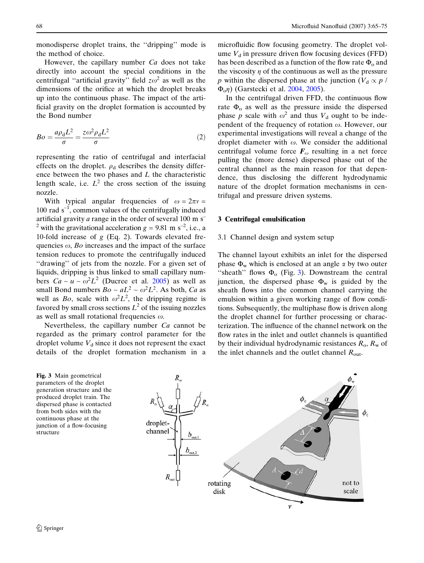<span id="page-3-0"></span>monodisperse droplet trains, the ''dripping'' mode is the method of choice.

However, the capillary number Ca does not take directly into account the special conditions in the centrifugal "artificial gravity" field  $z\omega^2$  as well as the dimensions of the orifice at which the droplet breaks up into the continuous phase. The impact of the artificial gravity on the droplet formation is accounted by the Bond number

$$
Bo = \frac{a\rho_{\rm d}L^2}{\sigma} = \frac{z\omega^2\rho_{\rm d}L^2}{\sigma} \tag{2}
$$

representing the ratio of centrifugal and interfacial effects on the droplet.  $\rho_d$  describes the density difference between the two phases and  $L$  the characteristic length scale, i.e.  $L^2$  the cross section of the issuing nozzle.

With typical angular frequencies of  $\omega = 2\pi v =$ 100 rad  $s^{-1}$ , common values of the centrifugally induced artificial gravity a range in the order of several 100 m  $s^-$ <sup>2</sup> with the gravitational acceleration  $g = 9.81$  m s<sup>-2</sup>, i.e., a 10-fold increase of  $g$  (Eq. 2). Towards elevated frequencies  $\omega$ , Bo increases and the impact of the surface tension reduces to promote the centrifugally induced ''drawing'' of jets from the nozzle. For a given set of liquids, dripping is thus linked to small capillary numbers  $Ca \sim u \sim \omega^2 L^2$  (Ducree et al. [2005](#page-10-0)) as well as small Bond numbers  $Bo \sim aL^2 \sim \omega^2L^2$ . As both, *Ca* as well as Bo, scale with  $\omega^2 L^2$ , the dripping regime is favored by small cross sections  $L^2$  of the issuing nozzles as well as small rotational frequencies  $\omega$ .

Nevertheless, the capillary number Ca cannot be regarded as the primary control parameter for the droplet volume  $V_d$  since it does not represent the exact details of the droplet formation mechanism in a



microfluidic flow focusing geometry. The droplet volume  $V_d$  in pressure driven flow focusing devices (FFD) has been described as a function of the flow rate  $\Phi_0$  and the viscosity  $\eta$  of the continuous as well as the pressure p within the dispersed phase at the junction ( $V_d \propto p / p$  $\Phi_0$  $\eta$ ) (Garstecki et al. [2004,](#page-10-0) [2005](#page-10-0)).

In the centrifugal driven FFD, the continuous flow rate  $\Phi$ <sub>o</sub> as well as the pressure inside the dispersed phase p scale with  $\omega^2$  and thus  $V_d$  ought to be independent of the frequency of rotation  $\omega$ . However, our experimental investigations will reveal a change of the droplet diameter with  $\omega$ . We consider the additional centrifugal volume force  $F_{\alpha}$  resulting in a net force pulling the (more dense) dispersed phase out of the central channel as the main reason for that dependence, thus disclosing the different hydrodynamic nature of the droplet formation mechanisms in centrifugal and pressure driven systems.

## 3 Centrifugal emulsification

# 3.1 Channel design and system setup

The channel layout exhibits an inlet for the dispersed phase  $\Phi_w$  which is enclosed at an angle  $\alpha$  by two outer "sheath" flows  $\Phi_0$  (Fig. 3). Downstream the central junction, the dispersed phase  $\Phi_w$  is guided by the sheath flows into the common channel carrying the emulsion within a given working range of flow conditions. Subsequently, the multiphase flow is driven along the droplet channel for further processing or characterization. The influence of the channel network on the flow rates in the inlet and outlet channels is quantified by their individual hydrodynamic resistances  $R_0$ ,  $R_w$  of the inlet channels and the outlet channel  $R_{\text{out}}$ .

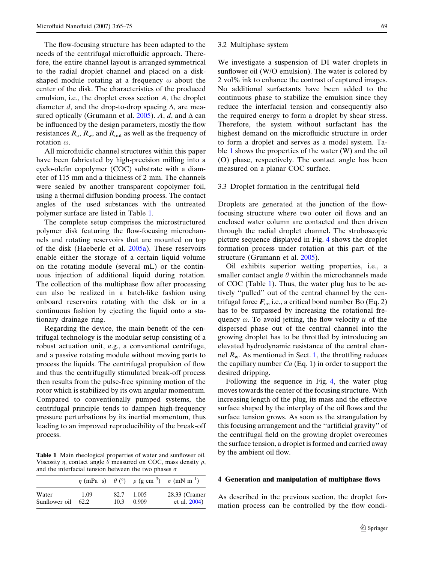The flow-focusing structure has been adapted to the needs of the centrifugal microfluidic approach. Therefore, the entire channel layout is arranged symmetrical to the radial droplet channel and placed on a diskshaped module rotating at a frequency  $\omega$  about the center of the disk. The characteristics of the produced emulsion, i.e., the droplet cross section  $A$ , the droplet diameter d, and the drop-to-drop spacing  $\Delta$ , are mea-sured optically (Grumann et al. [2005\)](#page-10-0). A, d, and  $\Delta$  can be influenced by the design parameters, mostly the flow resistances  $R_0$ ,  $R_w$ , and  $R_{out}$  as well as the frequency of rotation  $\omega$ .

All microfluidic channel structures within this paper have been fabricated by high-precision milling into a cyclo-olefin copolymer (COC) substrate with a diameter of 115 mm and a thickness of 2 mm. The channels were sealed by another transparent copolymer foil, using a thermal diffusion bonding process. The contact angles of the used substances with the untreated polymer surface are listed in Table 1.

The complete setup comprises the microstructured polymer disk featuring the flow-focusing microchannels and rotating reservoirs that are mounted on top of the disk (Haeberle et al. [2005a\)](#page-10-0). These reservoirs enable either the storage of a certain liquid volume on the rotating module (several mL) or the continuous injection of additional liquid during rotation. The collection of the multiphase flow after processing can also be realized in a batch-like fashion using onboard reservoirs rotating with the disk or in a continuous fashion by ejecting the liquid onto a stationary drainage ring.

Regarding the device, the main benefit of the centrifugal technology is the modular setup consisting of a robust actuation unit, e.g., a conventional centrifuge, and a passive rotating module without moving parts to process the liquids. The centrifugal propulsion of flow and thus the centrifugally stimulated break-off process then results from the pulse-free spinning motion of the rotor which is stabilized by its own angular momentum. Compared to conventionally pumped systems, the centrifugal principle tends to dampen high-frequency pressure perturbations by its inertial momentum, thus leading to an improved reproducibility of the break-off process.

Table 1 Main rheological properties of water and sunflower oil. Viscosity  $\eta$ , contact angle  $\theta$  measured on COC, mass density  $\rho$ , and the interfacial tension between the two phases  $\sigma$ 

|                    |      |      |       | $\eta$ (mPa s) $\theta$ (°) $\rho$ (g cm <sup>-3</sup> ) $\sigma$ (mN m <sup>-1</sup> ) |
|--------------------|------|------|-------|-----------------------------------------------------------------------------------------|
| Water              | 1.09 | 82.7 | 1.005 | 28.33 (Cramer                                                                           |
| Sunflower oil 62.2 |      | 10.3 | 0.909 | et al. $2004$ )                                                                         |

#### 3.2 Multiphase system

We investigate a suspension of DI water droplets in sunflower oil (W/O emulsion). The water is colored by 2 vol% ink to enhance the contrast of captured images. No additional surfactants have been added to the continuous phase to stabilize the emulsion since they reduce the interfacial tension and consequently also the required energy to form a droplet by shear stress. Therefore, the system without surfactant has the highest demand on the microfluidic structure in order to form a droplet and serves as a model system. Table 1 shows the properties of the water (W) and the oil (O) phase, respectively. The contact angle has been measured on a planar COC surface.

#### 3.3 Droplet formation in the centrifugal field

Droplets are generated at the junction of the flowfocusing structure where two outer oil flows and an enclosed water column are contacted and then driven through the radial droplet channel. The stroboscopic picture sequence displayed in Fig. [4](#page-5-0) shows the droplet formation process under rotation at this part of the structure (Grumann et al. [2005\)](#page-10-0).

Oil exhibits superior wetting properties, i.e., a smaller contact angle  $\theta$  within the microchannels made of COC (Table 1). Thus, the water plug has to be actively ''pulled'' out of the central channel by the centrifugal force  $\mathbf{F}_{\omega}$ , i.e., a critical bond number Bo (Eq. 2) has to be surpassed by increasing the rotational frequency  $\omega$ . To avoid jetting, the flow velocity u of the dispersed phase out of the central channel into the growing droplet has to be throttled by introducing an elevated hydrodynamic resistance of the central channel  $R_w$ . As mentioned in Sect. 1, the throttling reduces the capillary number  $Ca$  (Eq. 1) in order to support the desired dripping.

Following the sequence in Fig. [4,](#page-5-0) the water plug moves towards the center of the focusing structure. With increasing length of the plug, its mass and the effective surface shaped by the interplay of the oil flows and the surface tension grows. As soon as the strangulation by this focusing arrangement and the ''artificial gravity'' of the centrifugal field on the growing droplet overcomes the surface tension, a droplet is formed and carried away by the ambient oil flow.

#### 4 Generation and manipulation of multiphase flows

As described in the previous section, the droplet formation process can be controlled by the flow condi-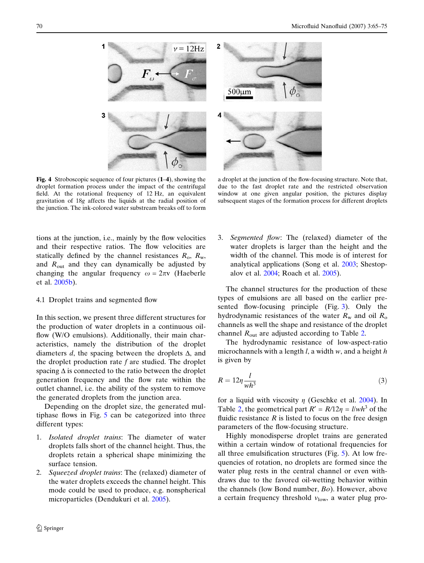<span id="page-5-0"></span>

Fig. 4 Stroboscopic sequence of four pictures (1–4), showing the droplet formation process under the impact of the centrifugal field. At the rotational frequency of 12 Hz, an equivalent gravitation of 18g affects the liquids at the radial position of the junction. The ink-colored water substream breaks off to form

a droplet at the junction of the flow-focusing structure. Note that, due to the fast droplet rate and the restricted observation window at one given angular position, the pictures display subsequent stages of the formation process for different droplets

tions at the junction, i.e., mainly by the flow velocities and their respective ratios. The flow velocities are statically defined by the channel resistances  $R_0$ ,  $R_w$ , and  $R_{\text{out}}$  and they can dynamically be adjusted by changing the angular frequency  $\omega = 2\pi v$  (Haeberle et al. [2005b\)](#page-10-0).

# 4.1 Droplet trains and segmented flow

In this section, we present three different structures for the production of water droplets in a continuous oilflow (W/O emulsions). Additionally, their main characteristics, namely the distribution of the droplet diameters  $d$ , the spacing between the droplets  $\Delta$ , and the droplet production rate  $f$  are studied. The droplet spacing  $\Delta$  is connected to the ratio between the droplet generation frequency and the flow rate within the outlet channel, i.e. the ability of the system to remove the generated droplets from the junction area.

Depending on the droplet size, the generated multiphase flows in Fig. [5](#page-6-0) can be categorized into three different types:

- 1. Isolated droplet trains: The diameter of water droplets falls short of the channel height. Thus, the droplets retain a spherical shape minimizing the surface tension.
- 2. Squeezed droplet trains: The (relaxed) diameter of the water droplets exceeds the channel height. This mode could be used to produce, e.g. nonspherical microparticles (Dendukuri et al. [2005](#page-10-0)).

3. Segmented flow: The (relaxed) diameter of the water droplets is larger than the height and the width of the channel. This mode is of interest for analytical applications (Song et al. [2003](#page-10-0); Shestopalov et al. [2004](#page-10-0); Roach et al. [2005](#page-10-0)).

The channel structures for the production of these types of emulsions are all based on the earlier presented flow-focusing principle (Fig. [3\)](#page-3-0). Only the hydrodynamic resistances of the water  $R_w$  and oil  $R_o$ channels as well the shape and resistance of the droplet channel  $R_{\text{out}}$  are adjusted according to Table [2](#page-6-0).

The hydrodynamic resistance of low-aspect-ratio microchannels with a length  $l$ , a width  $w$ , and a height  $h$ is given by

$$
R = 12\eta \frac{l}{wh^3} \tag{3}
$$

for a liquid with viscosity  $\eta$  (Geschke et al. [2004\)](#page-10-0). In Table [2](#page-6-0), the geometrical part  $R' = R/12\eta = l/\omega h^3$  of the fluidic resistance  $R$  is listed to focus on the free design parameters of the flow-focusing structure.

Highly monodisperse droplet trains are generated within a certain window of rotational frequencies for all three emulsification structures (Fig. [5\)](#page-6-0). At low frequencies of rotation, no droplets are formed since the water plug rests in the central channel or even withdraws due to the favored oil-wetting behavior within the channels (low Bond number, Bo). However, above a certain frequency threshold  $v_{\text{low}}$ , a water plug pro-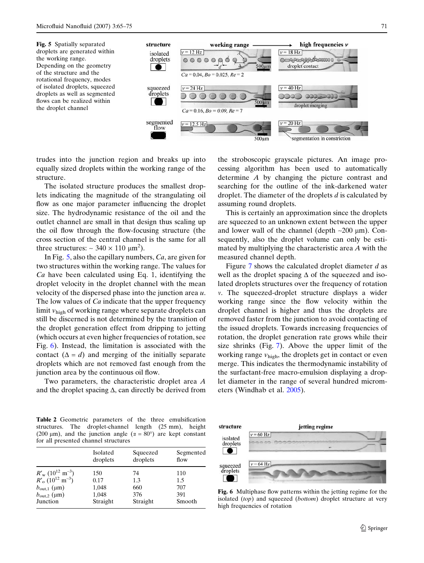<span id="page-6-0"></span>Fig. 5 Spatially separated droplets are generated within the working range. Depending on the geometry of the structure and the rotational frequency, modes of isolated droplets, squeezed droplets as well as segmented flows can be realized within the droplet channel



trudes into the junction region and breaks up into equally sized droplets within the working range of the structure.

The isolated structure produces the smallest droplets indicating the magnitude of the strangulating oil flow as one major parameter influencing the droplet size. The hydrodynamic resistance of the oil and the outlet channel are small in that design thus scaling up the oil flow through the flow-focusing structure (the cross section of the central channel is the same for all three structures:  $\sim 340 \times 110 \text{ }\mu\text{m}^2$ ).

In Fig. 5, also the capillary numbers, Ca, are given for two structures within the working range. The values for  $Ca$  have been calculated using Eq. 1, identifying the droplet velocity in the droplet channel with the mean velocity of the dispersed phase into the junction area u. The low values of *Ca* indicate that the upper frequency limit  $v_{\text{high}}$  of working range where separate droplets can still be discerned is not determined by the transition of the droplet generation effect from dripping to jetting (which occurs at even higher frequencies of rotation, see Fig. 6). Instead, the limitation is associated with the contact  $(\Delta = d)$  and merging of the initially separate droplets which are not removed fast enough from the junction area by the continuous oil flow.

Two parameters, the characteristic droplet area A and the droplet spacing  $\Delta$ , can directly be derived from

the stroboscopic grayscale pictures. An image processing algorithm has been used to automatically determine A by changing the picture contrast and searching for the outline of the ink-darkened water droplet. The diameter of the droplets  $d$  is calculated by assuming round droplets.

This is certainly an approximation since the droplets are squeezed to an unknown extent between the upper and lower wall of the channel (depth  $\sim$ 200  $\mu$ m). Consequently, also the droplet volume can only be estimated by multiplying the characteristic area A with the measured channel depth.

Figure [7](#page-7-0) shows the calculated droplet diameter d as well as the droplet spacing  $\Delta$  of the squeezed and isolated droplets structures over the frequency of rotation  $v$ . The squeezed-droplet structure displays a wider working range since the flow velocity within the droplet channel is higher and thus the droplets are removed faster from the junction to avoid contacting of the issued droplets. Towards increasing frequencies of rotation, the droplet generation rate grows while their size shrinks (Fig. [7\)](#page-7-0). Above the upper limit of the working range  $v_{\text{high}}$ , the droplets get in contact or even merge. This indicates the thermodynamic instability of the surfactant-free macro-emulsion displaying a droplet diameter in the range of several hundred micrometers (Windhab et al. [2005\)](#page-10-0).

Table 2 Geometric parameters of the three emulsification structures. The droplet-channel length (25 mm), height (200  $\mu$ m), and the junction angle ( $\alpha = 80^{\circ}$ ) are kept constant for all presented channel structures

|                                                  | Isolated | Squeezed | Segmented |  |
|--------------------------------------------------|----------|----------|-----------|--|
|                                                  | droplets | droplets | flow      |  |
| $R'_{\rm w}$ (10 <sup>12</sup> m <sup>-3</sup> ) | 150      | 74       | 110       |  |
| $R'_0$ (10 <sup>12</sup> m <sup>-3</sup> )       | 0.17     | 1.3      | 1.5       |  |
| $b_{\text{out},1}$ (µm)                          | 1,048    | 660      | 707       |  |
| $b_{\text{out},2}$ (µm)                          | 1,048    | 376      | 391       |  |
| Junction                                         | Straight | Straight | Smooth    |  |



Fig. 6 Multiphase flow patterns within the jetting regime for the isolated (top) and squeezed (bottom) droplet structure at very high frequencies of rotation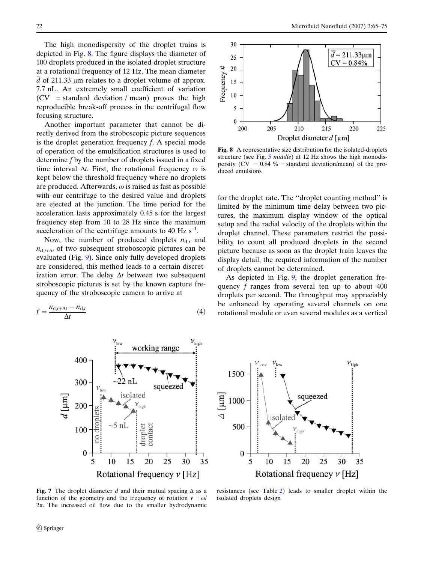<span id="page-7-0"></span>The high monodispersity of the droplet trains is depicted in Fig. 8. The figure displays the diameter of 100 droplets produced in the isolated-droplet structure at a rotational frequency of 12 Hz. The mean diameter  $\overline{d}$  of 211.33 µm relates to a droplet volume of approx. 7.7 nL. An extremely small coefficient of variation  $(CV = standard deviation / mean)$  proves the high reproducible break-off process in the centrifugal flow focusing structure.

Another important parameter that cannot be directly derived from the stroboscopic picture sequences is the droplet generation frequency f. A special mode of operation of the emulsification structures is used to determine f by the number of droplets issued in a fixed time interval  $\Delta t$ . First, the rotational frequency  $\omega$  is kept below the threshold frequency where no droplets are produced. Afterwards,  $\omega$  is raised as fast as possible with our centrifuge to the desired value and droplets are ejected at the junction. The time period for the acceleration lasts approximately 0.45 s for the largest frequency step from 10 to 28 Hz since the maximum acceleration of the centrifuge amounts to 40 Hz  $s^{-1}$ .

Now, the number of produced droplets  $n_{d,t}$  and  $n_{\text{d}t+\Delta t}$  of two subsequent stroboscopic pictures can be evaluated (Fig. [9\)](#page-8-0). Since only fully developed droplets are considered, this method leads to a certain discretization error. The delay  $\Delta t$  between two subsequent stroboscopic pictures is set by the known capture frequency of the stroboscopic camera to arrive at

$$
f = \frac{n_{\text{d},t+\Delta t} - n_{\text{d},t}}{\Delta t} \tag{4}
$$

isolated

 $\overline{c}$ contac

dropl

20

Rotational frequency  $\nu$  [Hz]

400

300

200

100

 $\mathbf{0}$ 

5

[um]

working range

squeezed

25

30

35

Fig. 7 The droplet diameter d and their mutual spacing  $\Delta$  as a function of the geometry and the frequency of rotation  $v = \omega /$  $2\pi$ . The increased oil flow due to the smaller hydrodynamic

15

5  $n$ 

10



Fig. 8 A representative size distribution for the isolated-droplets structure (see Fig. [5](#page-6-0) *middle*) at 12 Hz shows the high monodispersity ( $\angle$  CV = 0.84 % = standard deviation/mean) of the produced emulsions

for the droplet rate. The ''droplet counting method'' is limited by the minimum time delay between two pictures, the maximum display window of the optical setup and the radial velocity of the droplets within the droplet channel. These parameters restrict the possibility to count all produced droplets in the second picture because as soon as the droplet train leaves the display detail, the required information of the number of droplets cannot be determined.

As depicted in Fig. [9,](#page-8-0) the droplet generation frequency f ranges from several ten up to about 400 droplets per second. The throughput may appreciably be enhanced by operating several channels on one rotational module or even several modules as a vertical



resistances (see Table [2](#page-6-0)) leads to smaller droplet within the isolated droplets design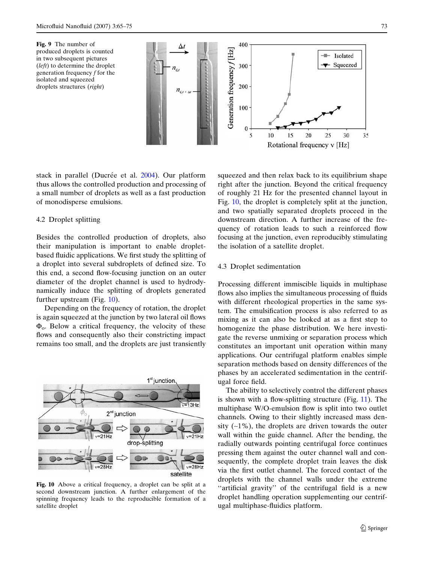<span id="page-8-0"></span>Fig. 9 The number of produced droplets is counted in two subsequent pictures (left) to determine the droplet generation frequency f for the isolated and squeezed droplets structures (right)



stack in parallel (Ducrée et al. [2004\)](#page-10-0). Our platform thus allows the controlled production and processing of a small number of droplets as well as a fast production of monodisperse emulsions.

## 4.2 Droplet splitting

Besides the controlled production of droplets, also their manipulation is important to enable dropletbased fluidic applications. We first study the splitting of a droplet into several subdroplets of defined size. To this end, a second flow-focusing junction on an outer diameter of the droplet channel is used to hydrodynamically induce the splitting of droplets generated further upstream (Fig. 10).

Depending on the frequency of rotation, the droplet is again squeezed at the junction by two lateral oil flows  $\Phi_{o}$ . Below a critical frequency, the velocity of these flows and consequently also their constricting impact remains too small, and the droplets are just transiently



Fig. 10 Above a critical frequency, a droplet can be split at a second downstream junction. A further enlargement of the spinning frequency leads to the reproducible formation of a satellite droplet

squeezed and then relax back to its equilibrium shape right after the junction. Beyond the critical frequency of roughly 21 Hz for the presented channel layout in Fig. 10, the droplet is completely split at the junction, and two spatially separated droplets proceed in the downstream direction. A further increase of the frequency of rotation leads to such a reinforced flow focusing at the junction, even reproducibly stimulating the isolation of a satellite droplet.

# 4.3 Droplet sedimentation

Processing different immiscible liquids in multiphase flows also implies the simultaneous processing of fluids with different rheological properties in the same system. The emulsification process is also referred to as mixing as it can also be looked at as a first step to homogenize the phase distribution. We here investigate the reverse unmixing or separation process which constitutes an important unit operation within many applications. Our centrifugal platform enables simple separation methods based on density differences of the phases by an accelerated sedimentation in the centrifugal force field.

The ability to selectively control the different phases is shown with a flow-splitting structure (Fig. [11\)](#page-9-0). The multiphase W/O-emulsion flow is split into two outlet channels. Owing to their slightly increased mass density  $(-1\%)$ , the droplets are driven towards the outer wall within the guide channel. After the bending, the radially outwards pointing centrifugal force continues pressing them against the outer channel wall and consequently, the complete droplet train leaves the disk via the first outlet channel. The forced contact of the droplets with the channel walls under the extreme "artificial gravity" of the centrifugal field is a new droplet handling operation supplementing our centrifugal multiphase-fluidics platform.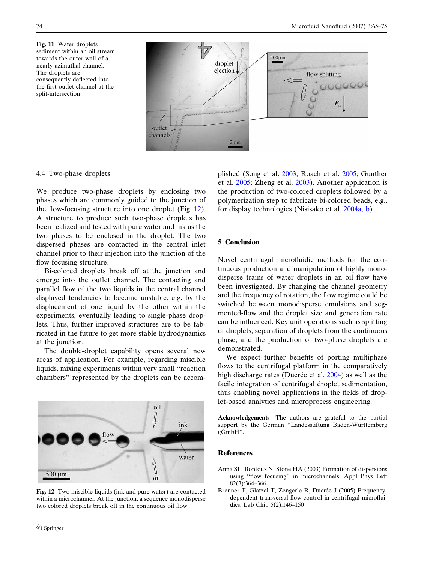<span id="page-9-0"></span>Fig. 11 Water droplets sediment within an oil stream towards the outer wall of a nearly azimuthal channel. The droplets are consequently deflected into the first outlet channel at the split-intersection



4.4 Two-phase droplets

We produce two-phase droplets by enclosing two phases which are commonly guided to the junction of the flow-focusing structure into one droplet (Fig. 12). A structure to produce such two-phase droplets has been realized and tested with pure water and ink as the two phases to be enclosed in the droplet. The two dispersed phases are contacted in the central inlet channel prior to their injection into the junction of the flow focusing structure.

Bi-colored droplets break off at the junction and emerge into the outlet channel. The contacting and parallel flow of the two liquids in the central channel displayed tendencies to become unstable, e.g. by the displacement of one liquid by the other within the experiments, eventually leading to single-phase droplets. Thus, further improved structures are to be fabricated in the future to get more stable hydrodynamics at the junction.

The double-droplet capability opens several new areas of application. For example, regarding miscible liquids, mixing experiments within very small ''reaction chambers'' represented by the droplets can be accom-



Fig. 12 Two miscible liquids (ink and pure water) are contacted within a microchannel. At the junction, a sequence monodisperse two colored droplets break off in the continuous oil flow

plished (Song et al. [2003](#page-10-0); Roach et al. [2005;](#page-10-0) Gunther et al. [2005;](#page-10-0) Zheng et al. [2003](#page-10-0)). Another application is the production of two-colored droplets followed by a polymerization step to fabricate bi-colored beads, e.g., for display technologies (Nisisako et al. [2004a](#page-10-0), [b](#page-10-0)).

### 5 Conclusion

Novel centrifugal microfluidic methods for the continuous production and manipulation of highly monodisperse trains of water droplets in an oil flow have been investigated. By changing the channel geometry and the frequency of rotation, the flow regime could be switched between monodisperse emulsions and segmented-flow and the droplet size and generation rate can be influenced. Key unit operations such as splitting of droplets, separation of droplets from the continuous phase, and the production of two-phase droplets are demonstrated.

We expect further benefits of porting multiphase flows to the centrifugal platform in the comparatively high discharge rates (Ducrée et al.  $2004$ ) as well as the facile integration of centrifugal droplet sedimentation, thus enabling novel applications in the fields of droplet-based analytics and microprocess engineering.

Acknowledgements The authors are grateful to the partial support by the German "Landesstiftung Baden-Württemberg gGmbH''.

#### References

- Anna SL, Bontoux N, Stone HA (2003) Formation of dispersions using ''flow focusing'' in microchannels. Appl Phys Lett 82(3):364–366
- Brenner T, Glatzel T, Zengerle R, Ducrée J (2005) Frequencydependent transversal flow control in centrifugal microfluidics. Lab Chip 5(2):146–150